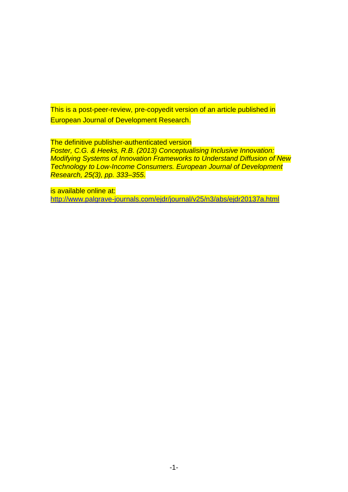This is a post-peer-review, pre-copyedit version of an article published in European Journal of Development Research.

The definitive publisher-authenticated version

*Foster, C.G. & Heeks, R.B. (2013) Conceptualising Inclusive Innovation: Modifying Systems of Innovation Frameworks to Understand Diffusion of New Technology to Low-Income Consumers. European Journal of Development Research, 25(3), pp. 333–355.*

is available online at: <http://www.palgrave-journals.com/ejdr/journal/v25/n3/abs/ejdr20137a.html>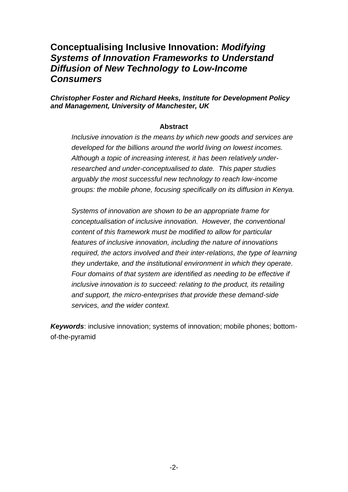## **Conceptualising Inclusive Innovation:** *Modifying Systems of Innovation Frameworks to Understand Diffusion of New Technology to Low-Income Consumers*

#### *Christopher Foster and Richard Heeks, Institute for Development Policy and Management, University of Manchester, UK*

#### **Abstract**

*Inclusive innovation is the means by which new goods and services are developed for the billions around the world living on lowest incomes. Although a topic of increasing interest, it has been relatively underresearched and under-conceptualised to date. This paper studies arguably the most successful new technology to reach low-income groups: the mobile phone, focusing specifically on its diffusion in Kenya.*

*Systems of innovation are shown to be an appropriate frame for conceptualisation of inclusive innovation. However, the conventional content of this framework must be modified to allow for particular features of inclusive innovation, including the nature of innovations required, the actors involved and their inter-relations, the type of learning they undertake, and the institutional environment in which they operate. Four domains of that system are identified as needing to be effective if inclusive innovation is to succeed: relating to the product, its retailing and support, the micro-enterprises that provide these demand-side services, and the wider context.*

*Keywords*: inclusive innovation; systems of innovation; mobile phones; bottomof-the-pyramid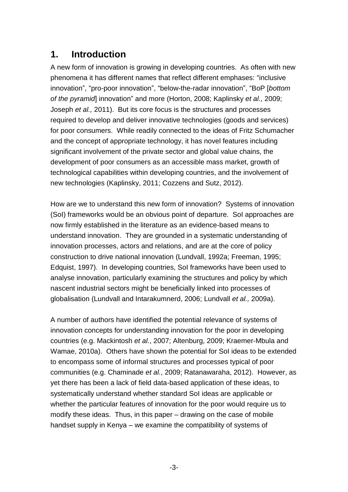## **1. Introduction**

A new form of innovation is growing in developing countries. As often with new phenomena it has different names that reflect different emphases: "inclusive innovation", "pro-poor innovation", "below-the-radar innovation", "BoP [*bottom of the pyramid*] innovation" and more (Horton, 2008; Kaplinsky *et al.,* 2009; Joseph *et al.,* 2011). But its core focus is the structures and processes required to develop and deliver innovative technologies (goods and services) for poor consumers. While readily connected to the ideas of Fritz Schumacher and the concept of appropriate technology, it has novel features including significant involvement of the private sector and global value chains, the development of poor consumers as an accessible mass market, growth of technological capabilities within developing countries, and the involvement of new technologies (Kaplinsky, 2011; Cozzens and Sutz, 2012).

How are we to understand this new form of innovation? Systems of innovation (SoI) frameworks would be an obvious point of departure. SoI approaches are now firmly established in the literature as an evidence-based means to understand innovation. They are grounded in a systematic understanding of innovation processes, actors and relations, and are at the core of policy construction to drive national innovation (Lundvall, 1992a; Freeman, 1995; Edquist, 1997). In developing countries, SoI frameworks have been used to analyse innovation, particularly examining the structures and policy by which nascent industrial sectors might be beneficially linked into processes of globalisation (Lundvall and Intarakumnerd, 2006; Lundvall *et al.,* 2009a).

A number of authors have identified the potential relevance of systems of innovation concepts for understanding innovation for the poor in developing countries (e.g. Mackintosh *et al.*, 2007; Altenburg, 2009; Kraemer-Mbula and Wamae, 2010a). Others have shown the potential for SoI ideas to be extended to encompass some of informal structures and processes typical of poor communities (e.g. Chaminade *et al.*, 2009; Ratanawaraha, 2012). However, as yet there has been a lack of field data-based application of these ideas, to systematically understand whether standard SoI ideas are applicable or whether the particular features of innovation for the poor would require us to modify these ideas. Thus, in this paper – drawing on the case of mobile handset supply in Kenya – we examine the compatibility of systems of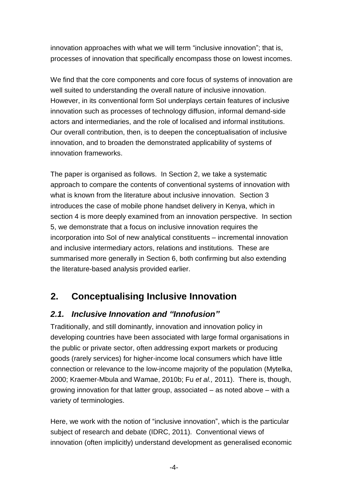innovation approaches with what we will term "inclusive innovation"; that is, processes of innovation that specifically encompass those on lowest incomes.

We find that the core components and core focus of systems of innovation are well suited to understanding the overall nature of inclusive innovation. However, in its conventional form SoI underplays certain features of inclusive innovation such as processes of technology diffusion, informal demand-side actors and intermediaries, and the role of localised and informal institutions. Our overall contribution, then, is to deepen the conceptualisation of inclusive innovation, and to broaden the demonstrated applicability of systems of innovation frameworks.

The paper is organised as follows. In Section 2, we take a systematic approach to compare the contents of conventional systems of innovation with what is known from the literature about inclusive innovation. Section 3 introduces the case of mobile phone handset delivery in Kenya, which in section 4 is more deeply examined from an innovation perspective. In section 5, we demonstrate that a focus on inclusive innovation requires the incorporation into SoI of new analytical constituents – incremental innovation and inclusive intermediary actors, relations and institutions. These are summarised more generally in Section 6, both confirming but also extending the literature-based analysis provided earlier.

# **2. Conceptualising Inclusive Innovation**

### *2.1. Inclusive Innovation and "Innofusion"*

Traditionally, and still dominantly, innovation and innovation policy in developing countries have been associated with large formal organisations in the public or private sector, often addressing export markets or producing goods (rarely services) for higher-income local consumers which have little connection or relevance to the low-income majority of the population (Mytelka, 2000; Kraemer-Mbula and Wamae, 2010b; Fu *et al.,* 2011). There is, though, growing innovation for that latter group, associated – as noted above – with a variety of terminologies.

Here, we work with the notion of "inclusive innovation", which is the particular subject of research and debate (IDRC, 2011). Conventional views of innovation (often implicitly) understand development as generalised economic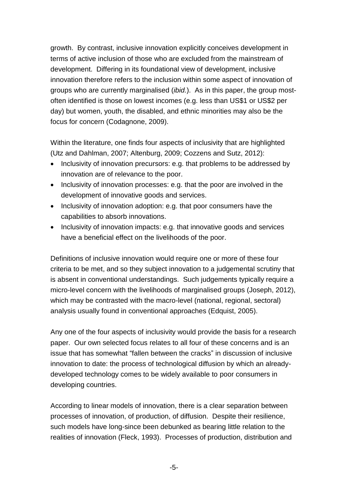growth. By contrast, inclusive innovation explicitly conceives development in terms of active inclusion of those who are excluded from the mainstream of development. Differing in its foundational view of development, inclusive innovation therefore refers to the inclusion within some aspect of innovation of groups who are currently marginalised (*ibid.*). As in this paper, the group mostoften identified is those on lowest incomes (e.g. less than US\$1 or US\$2 per day) but women, youth, the disabled, and ethnic minorities may also be the focus for concern (Codagnone, 2009).

Within the literature, one finds four aspects of inclusivity that are highlighted (Utz and Dahlman, 2007; Altenburg, 2009; Cozzens and Sutz, 2012):

- Inclusivity of innovation precursors: e.g. that problems to be addressed by innovation are of relevance to the poor.
- Inclusivity of innovation processes: e.g. that the poor are involved in the development of innovative goods and services.
- Inclusivity of innovation adoption: e.g. that poor consumers have the capabilities to absorb innovations.
- Inclusivity of innovation impacts: e.g. that innovative goods and services have a beneficial effect on the livelihoods of the poor.

Definitions of inclusive innovation would require one or more of these four criteria to be met, and so they subject innovation to a judgemental scrutiny that is absent in conventional understandings. Such judgements typically require a micro-level concern with the livelihoods of marginalised groups (Joseph, 2012), which may be contrasted with the macro-level (national, regional, sectoral) analysis usually found in conventional approaches (Edquist, 2005).

Any one of the four aspects of inclusivity would provide the basis for a research paper. Our own selected focus relates to all four of these concerns and is an issue that has somewhat "fallen between the cracks" in discussion of inclusive innovation to date: the process of technological diffusion by which an alreadydeveloped technology comes to be widely available to poor consumers in developing countries.

According to linear models of innovation, there is a clear separation between processes of innovation, of production, of diffusion. Despite their resilience, such models have long-since been debunked as bearing little relation to the realities of innovation (Fleck, 1993). Processes of production, distribution and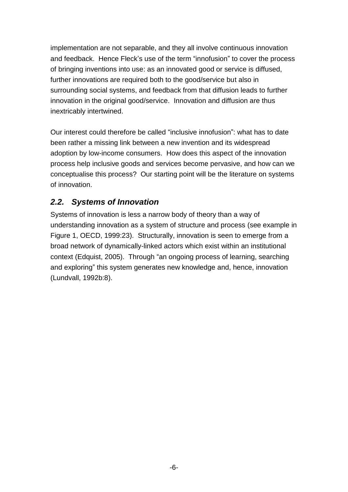implementation are not separable, and they all involve continuous innovation and feedback. Hence Fleck's use of the term "innofusion" to cover the process of bringing inventions into use: as an innovated good or service is diffused, further innovations are required both to the good/service but also in surrounding social systems, and feedback from that diffusion leads to further innovation in the original good/service. Innovation and diffusion are thus inextricably intertwined.

Our interest could therefore be called "inclusive innofusion": what has to date been rather a missing link between a new invention and its widespread adoption by low-income consumers. How does this aspect of the innovation process help inclusive goods and services become pervasive, and how can we conceptualise this process? Our starting point will be the literature on systems of innovation.

## *2.2. Systems of Innovation*

Systems of innovation is less a narrow body of theory than a way of understanding innovation as a system of structure and process (see example in Figure 1, OECD, 1999:23). Structurally, innovation is seen to emerge from a broad network of dynamically-linked actors which exist within an institutional context (Edquist, 2005). Through "an ongoing process of learning, searching and exploring" this system generates new knowledge and, hence, innovation (Lundvall, 1992b:8).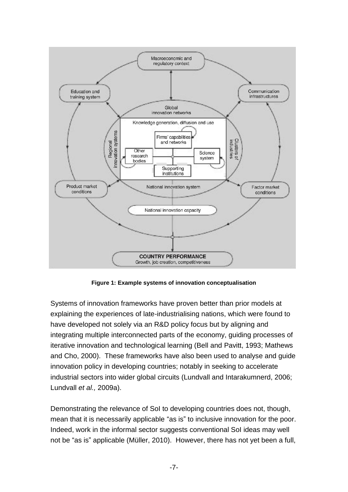

**Figure 1: Example systems of innovation conceptualisation**

Systems of innovation frameworks have proven better than prior models at explaining the experiences of late-industrialising nations, which were found to have developed not solely via an R&D policy focus but by aligning and integrating multiple interconnected parts of the economy, guiding processes of iterative innovation and technological learning (Bell and Pavitt, 1993; Mathews and Cho, 2000). These frameworks have also been used to analyse and guide innovation policy in developing countries; notably in seeking to accelerate industrial sectors into wider global circuits (Lundvall and Intarakumnerd, 2006; Lundvall *et al.,* 2009a).

Demonstrating the relevance of SoI to developing countries does not, though, mean that it is necessarily applicable "as is" to inclusive innovation for the poor. Indeed, work in the informal sector suggests conventional SoI ideas may well not be "as is" applicable (Müller, 2010). However, there has not yet been a full,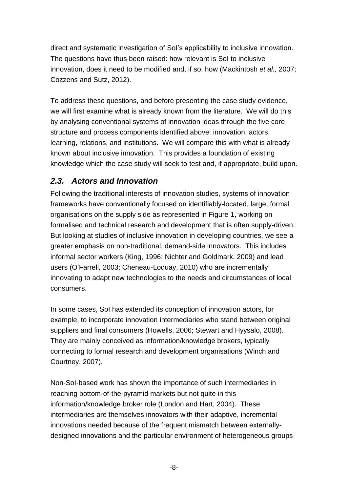direct and systematic investigation of SoI's applicability to inclusive innovation. The questions have thus been raised: how relevant is SoI to inclusive innovation, does it need to be modified and, if so, how (Mackintosh *et al.,* 2007; Cozzens and Sutz, 2012).

To address these questions, and before presenting the case study evidence, we will first examine what is already known from the literature. We will do this by analysing conventional systems of innovation ideas through the five core structure and process components identified above: innovation, actors, learning, relations, and institutions. We will compare this with what is already known about inclusive innovation. This provides a foundation of existing knowledge which the case study will seek to test and, if appropriate, build upon.

## *2.3. Actors and Innovation*

Following the traditional interests of innovation studies, systems of innovation frameworks have conventionally focused on identifiably-located, large, formal organisations on the supply side as represented in Figure 1, working on formalised and technical research and development that is often supply-driven. But looking at studies of inclusive innovation in developing countries, we see a greater emphasis on non-traditional, demand-side innovators. This includes informal sector workers (King, 1996; Nichter and Goldmark, 2009) and lead users (O'Farrell*,* 2003; Cheneau-Loquay, 2010) who are incrementally innovating to adapt new technologies to the needs and circumstances of local consumers.

In some cases, SoI has extended its conception of innovation actors, for example, to incorporate innovation intermediaries who stand between original suppliers and final consumers (Howells, 2006; Stewart and Hyysalo, 2008). They are mainly conceived as information/knowledge brokers, typically connecting to formal research and development organisations (Winch and Courtney, 2007).

Non-SoI-based work has shown the importance of such intermediaries in reaching bottom-of-the-pyramid markets but not quite in this information/knowledge broker role (London and Hart, 2004). These intermediaries are themselves innovators with their adaptive, incremental innovations needed because of the frequent mismatch between externallydesigned innovations and the particular environment of heterogeneous groups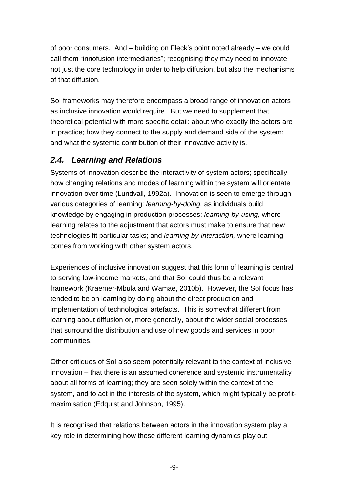of poor consumers. And – building on Fleck's point noted already – we could call them "innofusion intermediaries"; recognising they may need to innovate not just the core technology in order to help diffusion, but also the mechanisms of that diffusion.

SoI frameworks may therefore encompass a broad range of innovation actors as inclusive innovation would require. But we need to supplement that theoretical potential with more specific detail: about who exactly the actors are in practice; how they connect to the supply and demand side of the system; and what the systemic contribution of their innovative activity is.

### *2.4. Learning and Relations*

Systems of innovation describe the interactivity of system actors; specifically how changing relations and modes of learning within the system will orientate innovation over time (Lundvall, 1992a). Innovation is seen to emerge through various categories of learning: *learning-by-doing,* as individuals build knowledge by engaging in production processes; *learning-by-using,* where learning relates to the adjustment that actors must make to ensure that new technologies fit particular tasks; and *learning-by-interaction,* where learning comes from working with other system actors.

Experiences of inclusive innovation suggest that this form of learning is central to serving low-income markets, and that SoI could thus be a relevant framework (Kraemer-Mbula and Wamae, 2010b). However, the SoI focus has tended to be on learning by doing about the direct production and implementation of technological artefacts. This is somewhat different from learning about diffusion or, more generally, about the wider social processes that surround the distribution and use of new goods and services in poor communities.

Other critiques of SoI also seem potentially relevant to the context of inclusive innovation – that there is an assumed coherence and systemic instrumentality about all forms of learning; they are seen solely within the context of the system, and to act in the interests of the system, which might typically be profitmaximisation (Edquist and Johnson, 1995).

It is recognised that relations between actors in the innovation system play a key role in determining how these different learning dynamics play out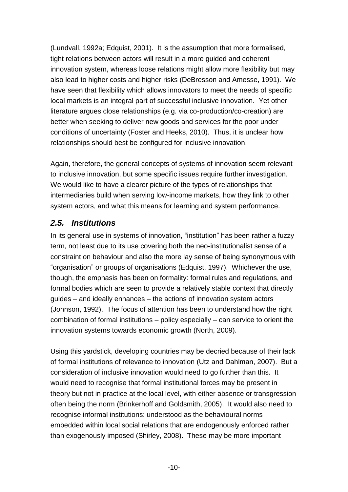(Lundvall, 1992a; Edquist, 2001). It is the assumption that more formalised, tight relations between actors will result in a more guided and coherent innovation system, whereas loose relations might allow more flexibility but may also lead to higher costs and higher risks (DeBresson and Amesse, 1991). We have seen that flexibility which allows innovators to meet the needs of specific local markets is an integral part of successful inclusive innovation. Yet other literature argues close relationships (e.g. via co-production/co-creation) are better when seeking to deliver new goods and services for the poor under conditions of uncertainty (Foster and Heeks, 2010). Thus, it is unclear how relationships should best be configured for inclusive innovation.

Again, therefore, the general concepts of systems of innovation seem relevant to inclusive innovation, but some specific issues require further investigation. We would like to have a clearer picture of the types of relationships that intermediaries build when serving low-income markets, how they link to other system actors, and what this means for learning and system performance.

### *2.5. Institutions*

In its general use in systems of innovation, "institution" has been rather a fuzzy term, not least due to its use covering both the neo-institutionalist sense of a constraint on behaviour and also the more lay sense of being synonymous with "organisation" or groups of organisations (Edquist, 1997). Whichever the use, though, the emphasis has been on formality: formal rules and regulations, and formal bodies which are seen to provide a relatively stable context that directly guides – and ideally enhances – the actions of innovation system actors (Johnson, 1992). The focus of attention has been to understand how the right combination of formal institutions – policy especially – can service to orient the innovation systems towards economic growth (North, 2009).

Using this yardstick, developing countries may be decried because of their lack of formal institutions of relevance to innovation (Utz and Dahlman, 2007). But a consideration of inclusive innovation would need to go further than this. It would need to recognise that formal institutional forces may be present in theory but not in practice at the local level, with either absence or transgression often being the norm (Brinkerhoff and Goldsmith, 2005). It would also need to recognise informal institutions: understood as the behavioural norms embedded within local social relations that are endogenously enforced rather than exogenously imposed (Shirley, 2008). These may be more important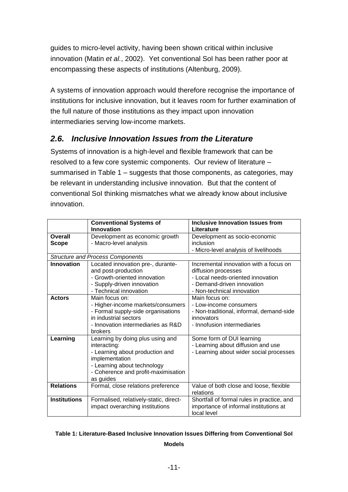guides to micro-level activity, having been shown critical within inclusive innovation (Matin *et al.*, 2002). Yet conventional SoI has been rather poor at encompassing these aspects of institutions (Altenburg, 2009).

A systems of innovation approach would therefore recognise the importance of institutions for inclusive innovation, but it leaves room for further examination of the full nature of those institutions as they impact upon innovation intermediaries serving low-income markets.

## *2.6. Inclusive Innovation Issues from the Literature*

Systems of innovation is a high-level and flexible framework that can be resolved to a few core systemic components. Our review of literature – summarised in Table 1 – suggests that those components, as categories, may be relevant in understanding inclusive innovation. But that the content of conventional SoI thinking mismatches what we already know about inclusive innovation.

|                                         | <b>Conventional Systems of</b><br>Innovation | <b>Inclusive Innovation Issues from</b>    |  |  |
|-----------------------------------------|----------------------------------------------|--------------------------------------------|--|--|
|                                         |                                              | Literature                                 |  |  |
| Overall                                 | Development as economic growth               | Development as socio-economic              |  |  |
| Scope                                   | - Macro-level analysis                       | inclusion                                  |  |  |
|                                         |                                              | - Micro-level analysis of livelihoods      |  |  |
| <b>Structure and Process Components</b> |                                              |                                            |  |  |
| <b>Innovation</b>                       | Located innovation pre-, durante-            | Incremental innovation with a focus on     |  |  |
|                                         | and post-production                          | diffusion processes                        |  |  |
|                                         | - Growth-oriented innovation                 | - Local needs-oriented innovation          |  |  |
|                                         | - Supply-driven innovation                   | - Demand-driven innovation                 |  |  |
|                                         | - Technical innovation                       | - Non-technical innovation                 |  |  |
| <b>Actors</b>                           | Main focus on:                               | Main focus on:                             |  |  |
|                                         | - Higher-income markets/consumers            | - Low-income consumers                     |  |  |
|                                         | - Formal supply-side organisations           | - Non-traditional, informal, demand-side   |  |  |
|                                         | in industrial sectors                        | innovators                                 |  |  |
|                                         | - Innovation intermediaries as R&D           | - Innofusion intermediaries                |  |  |
|                                         | brokers                                      |                                            |  |  |
|                                         |                                              |                                            |  |  |
| Learning                                | Learning by doing plus using and             | Some form of DUI learning                  |  |  |
|                                         | interacting:                                 | - Learning about diffusion and use         |  |  |
|                                         | - Learning about production and              | - Learning about wider social processes    |  |  |
|                                         | implementation                               |                                            |  |  |
|                                         | - Learning about technology                  |                                            |  |  |
|                                         | - Coherence and profit-maximisation          |                                            |  |  |
|                                         | as guides                                    |                                            |  |  |
| <b>Relations</b>                        | Formal, close relations preference           | Value of both close and loose, flexible    |  |  |
|                                         |                                              | relations                                  |  |  |
| <b>Institutions</b>                     | Formalised, relatively-static, direct-       | Shortfall of formal rules in practice, and |  |  |
|                                         | impact overarching institutions              | importance of informal institutions at     |  |  |
|                                         |                                              | local level                                |  |  |

#### **Table 1: Literature-Based Inclusive Innovation Issues Differing from Conventional SoI Models**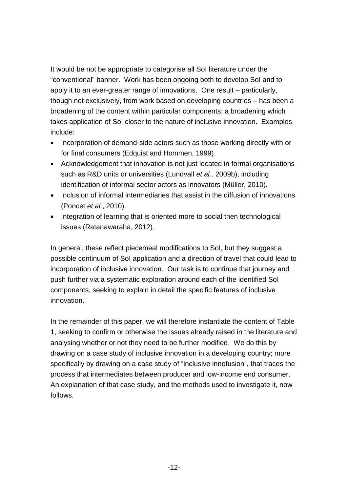It would be not be appropriate to categorise all SoI literature under the "conventional" banner. Work has been ongoing both to develop SoI and to apply it to an ever-greater range of innovations. One result – particularly, though not exclusively, from work based on developing countries – has been a broadening of the content within particular components; a broadening which takes application of SoI closer to the nature of inclusive innovation. Examples include:

- Incorporation of demand-side actors such as those working directly with or for final consumers (Edquist and Hommen, 1999).
- Acknowledgement that innovation is not just located in formal organisations such as R&D units or universities (Lundvall *et al.,* 2009b), including identification of informal sector actors as innovators (Müller, 2010).
- Inclusion of informal intermediaries that assist in the diffusion of innovations (Poncet *et al.*, 2010).
- Integration of learning that is oriented more to social then technological issues (Ratanawaraha, 2012).

In general, these reflect piecemeal modifications to SoI, but they suggest a possible continuum of SoI application and a direction of travel that could lead to incorporation of inclusive innovation. Our task is to continue that journey and push further via a systematic exploration around each of the identified SoI components, seeking to explain in detail the specific features of inclusive innovation.

In the remainder of this paper, we will therefore instantiate the content of Table 1, seeking to confirm or otherwise the issues already raised in the literature and analysing whether or not they need to be further modified. We do this by drawing on a case study of inclusive innovation in a developing country; more specifically by drawing on a case study of "inclusive innofusion", that traces the process that intermediates between producer and low-income end consumer. An explanation of that case study, and the methods used to investigate it, now follows.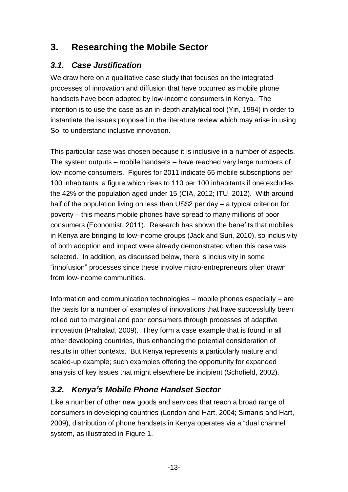# **3. Researching the Mobile Sector**

## *3.1. Case Justification*

We draw here on a qualitative case study that focuses on the integrated processes of innovation and diffusion that have occurred as mobile phone handsets have been adopted by low-income consumers in Kenya. The intention is to use the case as an in-depth analytical tool (Yin, 1994) in order to instantiate the issues proposed in the literature review which may arise in using SoI to understand inclusive innovation.

This particular case was chosen because it is inclusive in a number of aspects. The system outputs – mobile handsets – have reached very large numbers of low-income consumers. Figures for 2011 indicate 65 mobile subscriptions per 100 inhabitants, a figure which rises to 110 per 100 inhabitants if one excludes the 42% of the population aged under 15 (CIA, 2012; ITU, 2012). With around half of the population living on less than US\$2 per day – a typical criterion for poverty – this means mobile phones have spread to many millions of poor consumers (Economist, 2011). Research has shown the benefits that mobiles in Kenya are bringing to low-income groups (Jack and Suri, 2010), so inclusivity of both adoption and impact were already demonstrated when this case was selected. In addition, as discussed below, there is inclusivity in some "innofusion" processes since these involve micro-entrepreneurs often drawn from low-income communities.

Information and communication technologies – mobile phones especially – are the basis for a number of examples of innovations that have successfully been rolled out to marginal and poor consumers through processes of adaptive innovation (Prahalad, 2009). They form a case example that is found in all other developing countries, thus enhancing the potential consideration of results in other contexts. But Kenya represents a particularly mature and scaled-up example; such examples offering the opportunity for expanded analysis of key issues that might elsewhere be incipient (Schofield, 2002).

## *3.2. Kenya's Mobile Phone Handset Sector*

Like a number of other new goods and services that reach a broad range of consumers in developing countries (London and Hart, 2004; Simanis and Hart, 2009), distribution of phone handsets in Kenya operates via a "dual channel" system, as illustrated in Figure 1.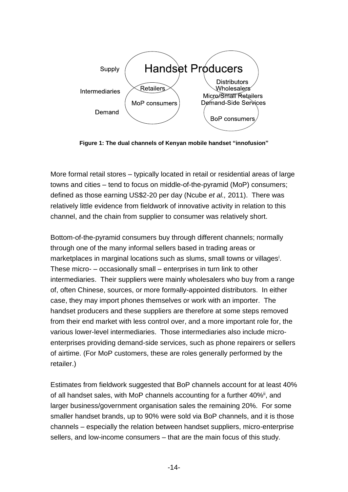

**Figure 1: The dual channels of Kenyan mobile handset "innofusion"**

More formal retail stores – typically located in retail or residential areas of large towns and cities – tend to focus on middle-of-the-pyramid (MoP) consumers; defined as those earning US\$2-20 per day (Ncube *et al.,* 2011). There was relatively little evidence from fieldwork of innovative activity in relation to this channel, and the chain from supplier to consumer was relatively short.

Bottom-of-the-pyramid consumers buy through different channels; normally through one of the many informal sellers based in trading areas or marketplaces in marginal locations such as slums, small towns or villages<sup>i</sup>. These micro- – occasionally small – enterprises in turn link to other intermediaries. Their suppliers were mainly wholesalers who buy from a range of, often Chinese, sources, or more formally-appointed distributors. In either case, they may import phones themselves or work with an importer. The handset producers and these suppliers are therefore at some steps removed from their end market with less control over, and a more important role for, the various lower-level intermediaries. Those intermediaries also include microenterprises providing demand-side services, such as phone repairers or sellers of airtime. (For MoP customers, these are roles generally performed by the retailer.)

Estimates from fieldwork suggested that BoP channels account for at least 40% of all handset sales, with MoP channels accounting for a further 40%<sup>ii</sup>, and larger business/government organisation sales the remaining 20%. For some smaller handset brands, up to 90% were sold via BoP channels, and it is those channels – especially the relation between handset suppliers, micro-enterprise sellers, and low-income consumers – that are the main focus of this study.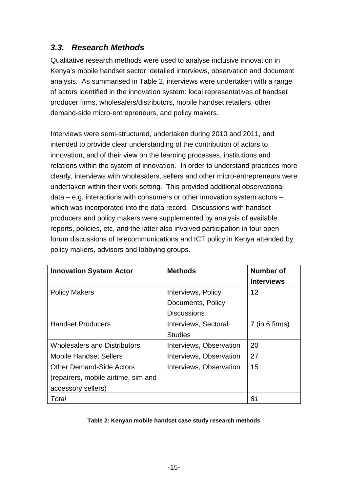## *3.3. Research Methods*

Qualitative research methods were used to analyse inclusive innovation in Kenya's mobile handset sector: detailed interviews, observation and document analysis. As summarised in Table 2, interviews were undertaken with a range of actors identified in the innovation system: local representatives of handset producer firms, wholesalers/distributors, mobile handset retailers, other demand-side micro-entrepreneurs, and policy makers.

Interviews were semi-structured, undertaken during 2010 and 2011, and intended to provide clear understanding of the contribution of actors to innovation, and of their view on the learning processes, institutions and relations within the system of innovation. In order to understand practices more clearly, interviews with wholesalers, sellers and other micro-entrepreneurs were undertaken within their work setting. This provided additional observational  $data - e.a.$  interactions with consumers or other innovation system actors  $$ which was incorporated into the data record. Discussions with handset producers and policy makers were supplemented by analysis of available reports, policies, etc, and the latter also involved participation in four open forum discussions of telecommunications and ICT policy in Kenya attended by policy makers, advisors and lobbying groups.

| <b>Innovation System Actor</b>      | <b>Methods</b>          | Number of<br><b>Interviews</b> |
|-------------------------------------|-------------------------|--------------------------------|
| <b>Policy Makers</b>                | Interviews, Policy      | 12                             |
|                                     | Documents, Policy       |                                |
|                                     | <b>Discussions</b>      |                                |
| <b>Handset Producers</b>            | Interviews, Sectoral    | 7 (in 6 firms)                 |
|                                     | <b>Studies</b>          |                                |
| <b>Wholesalers and Distributors</b> | Interviews, Observation | 20                             |
| Mobile Handset Sellers              | Interviews, Observation | 27                             |
| Other Demand-Side Actors            | Interviews, Observation | 15                             |
| (repairers, mobile airtime, sim and |                         |                                |
| accessory sellers)                  |                         |                                |
| Total                               |                         | 81                             |

#### **Table 2: Kenyan mobile handset case study research methods**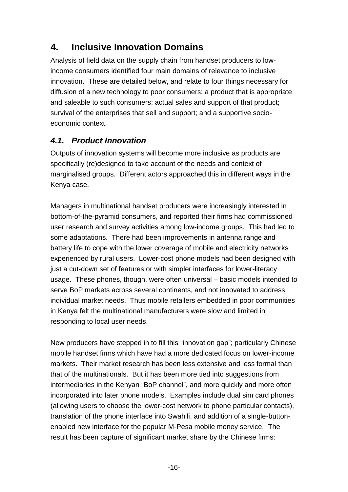# **4. Inclusive Innovation Domains**

Analysis of field data on the supply chain from handset producers to lowincome consumers identified four main domains of relevance to inclusive innovation. These are detailed below, and relate to four things necessary for diffusion of a new technology to poor consumers: a product that is appropriate and saleable to such consumers; actual sales and support of that product; survival of the enterprises that sell and support; and a supportive socioeconomic context.

## *4.1. Product Innovation*

Outputs of innovation systems will become more inclusive as products are specifically (re)designed to take account of the needs and context of marginalised groups. Different actors approached this in different ways in the Kenya case.

Managers in multinational handset producers were increasingly interested in bottom-of-the-pyramid consumers, and reported their firms had commissioned user research and survey activities among low-income groups. This had led to some adaptations. There had been improvements in antenna range and battery life to cope with the lower coverage of mobile and electricity networks experienced by rural users. Lower-cost phone models had been designed with just a cut-down set of features or with simpler interfaces for lower-literacy usage. These phones, though, were often universal – basic models intended to serve BoP markets across several continents, and not innovated to address individual market needs. Thus mobile retailers embedded in poor communities in Kenya felt the multinational manufacturers were slow and limited in responding to local user needs.

New producers have stepped in to fill this "innovation gap"; particularly Chinese mobile handset firms which have had a more dedicated focus on lower-income markets. Their market research has been less extensive and less formal than that of the multinationals. But it has been more tied into suggestions from intermediaries in the Kenyan "BoP channel", and more quickly and more often incorporated into later phone models. Examples include dual sim card phones (allowing users to choose the lower-cost network to phone particular contacts), translation of the phone interface into Swahili, and addition of a single-buttonenabled new interface for the popular M-Pesa mobile money service. The result has been capture of significant market share by the Chinese firms: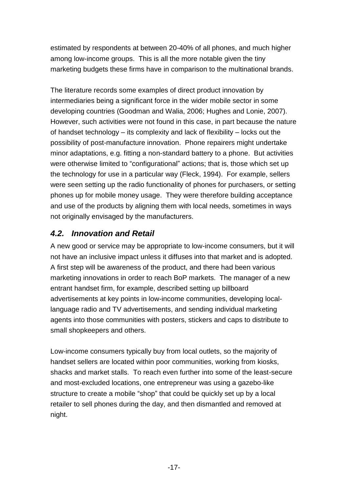estimated by respondents at between 20-40% of all phones, and much higher among low-income groups. This is all the more notable given the tiny marketing budgets these firms have in comparison to the multinational brands.

The literature records some examples of direct product innovation by intermediaries being a significant force in the wider mobile sector in some developing countries (Goodman and Walia, 2006; Hughes and Lonie, 2007). However, such activities were not found in this case, in part because the nature of handset technology – its complexity and lack of flexibility – locks out the possibility of post-manufacture innovation. Phone repairers might undertake minor adaptations, e.g. fitting a non-standard battery to a phone. But activities were otherwise limited to "configurational" actions; that is, those which set up the technology for use in a particular way (Fleck, 1994). For example, sellers were seen setting up the radio functionality of phones for purchasers, or setting phones up for mobile money usage. They were therefore building acceptance and use of the products by aligning them with local needs, sometimes in ways not originally envisaged by the manufacturers.

## *4.2. Innovation and Retail*

A new good or service may be appropriate to low-income consumers, but it will not have an inclusive impact unless it diffuses into that market and is adopted. A first step will be awareness of the product, and there had been various marketing innovations in order to reach BoP markets. The manager of a new entrant handset firm, for example, described setting up billboard advertisements at key points in low-income communities, developing locallanguage radio and TV advertisements, and sending individual marketing agents into those communities with posters, stickers and caps to distribute to small shopkeepers and others.

Low-income consumers typically buy from local outlets, so the majority of handset sellers are located within poor communities, working from kiosks, shacks and market stalls. To reach even further into some of the least-secure and most-excluded locations, one entrepreneur was using a gazebo-like structure to create a mobile "shop" that could be quickly set up by a local retailer to sell phones during the day, and then dismantled and removed at night.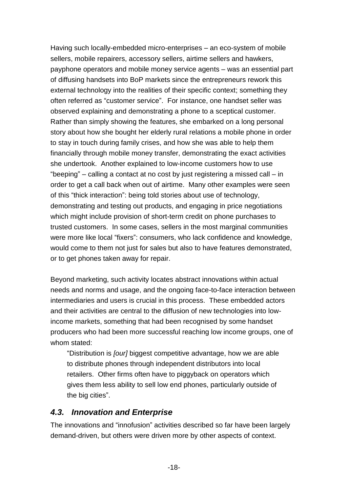Having such locally-embedded micro-enterprises – an eco-system of mobile sellers, mobile repairers, accessory sellers, airtime sellers and hawkers, payphone operators and mobile money service agents – was an essential part of diffusing handsets into BoP markets since the entrepreneurs rework this external technology into the realities of their specific context; something they often referred as "customer service". For instance, one handset seller was observed explaining and demonstrating a phone to a sceptical customer. Rather than simply showing the features, she embarked on a long personal story about how she bought her elderly rural relations a mobile phone in order to stay in touch during family crises, and how she was able to help them financially through mobile money transfer, demonstrating the exact activities she undertook. Another explained to low-income customers how to use "beeping" – calling a contact at no cost by just registering a missed call – in order to get a call back when out of airtime. Many other examples were seen of this "thick interaction": being told stories about use of technology, demonstrating and testing out products, and engaging in price negotiations which might include provision of short-term credit on phone purchases to trusted customers. In some cases, sellers in the most marginal communities were more like local "fixers": consumers, who lack confidence and knowledge, would come to them not just for sales but also to have features demonstrated, or to get phones taken away for repair.

Beyond marketing, such activity locates abstract innovations within actual needs and norms and usage, and the ongoing face-to-face interaction between intermediaries and users is crucial in this process. These embedded actors and their activities are central to the diffusion of new technologies into lowincome markets, something that had been recognised by some handset producers who had been more successful reaching low income groups, one of whom stated:

"Distribution is *[our]* biggest competitive advantage, how we are able to distribute phones through independent distributors into local retailers. Other firms often have to piggyback on operators which gives them less ability to sell low end phones, particularly outside of the big cities".

#### *4.3. Innovation and Enterprise*

The innovations and "innofusion" activities described so far have been largely demand-driven, but others were driven more by other aspects of context.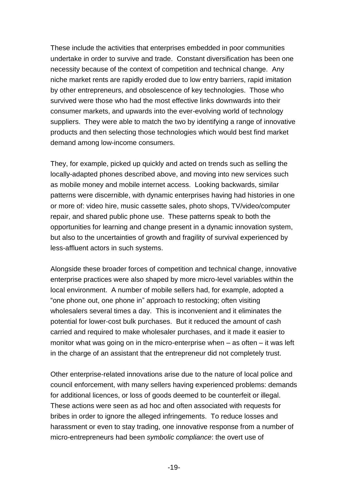These include the activities that enterprises embedded in poor communities undertake in order to survive and trade. Constant diversification has been one necessity because of the context of competition and technical change. Any niche market rents are rapidly eroded due to low entry barriers, rapid imitation by other entrepreneurs, and obsolescence of key technologies. Those who survived were those who had the most effective links downwards into their consumer markets, and upwards into the ever-evolving world of technology suppliers. They were able to match the two by identifying a range of innovative products and then selecting those technologies which would best find market demand among low-income consumers.

They, for example, picked up quickly and acted on trends such as selling the locally-adapted phones described above, and moving into new services such as mobile money and mobile internet access. Looking backwards, similar patterns were discernible, with dynamic enterprises having had histories in one or more of: video hire, music cassette sales, photo shops, TV/video/computer repair, and shared public phone use. These patterns speak to both the opportunities for learning and change present in a dynamic innovation system, but also to the uncertainties of growth and fragility of survival experienced by less-affluent actors in such systems.

Alongside these broader forces of competition and technical change, innovative enterprise practices were also shaped by more micro-level variables within the local environment. A number of mobile sellers had, for example, adopted a "one phone out, one phone in" approach to restocking; often visiting wholesalers several times a day. This is inconvenient and it eliminates the potential for lower-cost bulk purchases. But it reduced the amount of cash carried and required to make wholesaler purchases, and it made it easier to monitor what was going on in the micro-enterprise when – as often – it was left in the charge of an assistant that the entrepreneur did not completely trust.

Other enterprise-related innovations arise due to the nature of local police and council enforcement, with many sellers having experienced problems: demands for additional licences, or loss of goods deemed to be counterfeit or illegal. These actions were seen as ad hoc and often associated with requests for bribes in order to ignore the alleged infringements. To reduce losses and harassment or even to stay trading, one innovative response from a number of micro-entrepreneurs had been *symbolic compliance*: the overt use of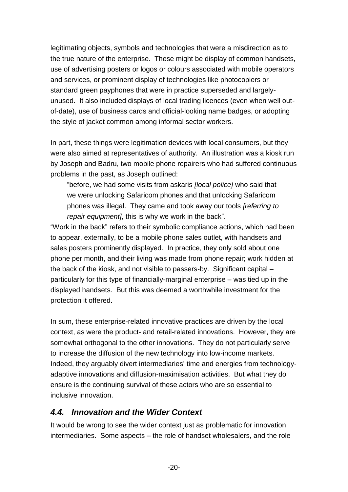legitimating objects, symbols and technologies that were a misdirection as to the true nature of the enterprise. These might be display of common handsets, use of advertising posters or logos or colours associated with mobile operators and services, or prominent display of technologies like photocopiers or standard green payphones that were in practice superseded and largelyunused. It also included displays of local trading licences (even when well outof-date), use of business cards and official-looking name badges, or adopting the style of jacket common among informal sector workers.

In part, these things were legitimation devices with local consumers, but they were also aimed at representatives of authority. An illustration was a kiosk run by Joseph and Badru, two mobile phone repairers who had suffered continuous problems in the past, as Joseph outlined:

"before, we had some visits from askaris *[local police]* who said that we were unlocking Safaricom phones and that unlocking Safaricom phones was illegal. They came and took away our tools *[referring to repair equipment]*, this is why we work in the back".

"Work in the back" refers to their symbolic compliance actions, which had been to appear, externally, to be a mobile phone sales outlet, with handsets and sales posters prominently displayed. In practice, they only sold about one phone per month, and their living was made from phone repair; work hidden at the back of the kiosk, and not visible to passers-by. Significant capital – particularly for this type of financially-marginal enterprise – was tied up in the displayed handsets. But this was deemed a worthwhile investment for the protection it offered.

In sum, these enterprise-related innovative practices are driven by the local context, as were the product- and retail-related innovations. However, they are somewhat orthogonal to the other innovations. They do not particularly serve to increase the diffusion of the new technology into low-income markets. Indeed, they arguably divert intermediaries' time and energies from technologyadaptive innovations and diffusion-maximisation activities. But what they do ensure is the continuing survival of these actors who are so essential to inclusive innovation.

#### *4.4. Innovation and the Wider Context*

It would be wrong to see the wider context just as problematic for innovation intermediaries. Some aspects – the role of handset wholesalers, and the role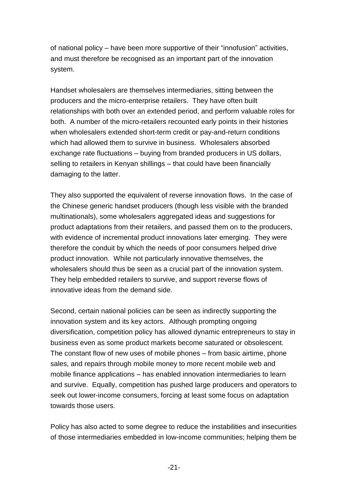of national policy – have been more supportive of their "innofusion" activities, and must therefore be recognised as an important part of the innovation system.

Handset wholesalers are themselves intermediaries, sitting between the producers and the micro-enterprise retailers. They have often built relationships with both over an extended period, and perform valuable roles for both. A number of the micro-retailers recounted early points in their histories when wholesalers extended short-term credit or pay-and-return conditions which had allowed them to survive in business. Wholesalers absorbed exchange rate fluctuations – buying from branded producers in US dollars, selling to retailers in Kenyan shillings – that could have been financially damaging to the latter.

They also supported the equivalent of reverse innovation flows. In the case of the Chinese generic handset producers (though less visible with the branded multinationals), some wholesalers aggregated ideas and suggestions for product adaptations from their retailers, and passed them on to the producers, with evidence of incremental product innovations later emerging. They were therefore the conduit by which the needs of poor consumers helped drive product innovation. While not particularly innovative themselves, the wholesalers should thus be seen as a crucial part of the innovation system. They help embedded retailers to survive, and support reverse flows of innovative ideas from the demand side.

Second, certain national policies can be seen as indirectly supporting the innovation system and its key actors. Although prompting ongoing diversification, competition policy has allowed dynamic entrepreneurs to stay in business even as some product markets become saturated or obsolescent. The constant flow of new uses of mobile phones – from basic airtime, phone sales, and repairs through mobile money to more recent mobile web and mobile finance applications – has enabled innovation intermediaries to learn and survive. Equally, competition has pushed large producers and operators to seek out lower-income consumers, forcing at least some focus on adaptation towards those users.

Policy has also acted to some degree to reduce the instabilities and insecurities of those intermediaries embedded in low-income communities; helping them be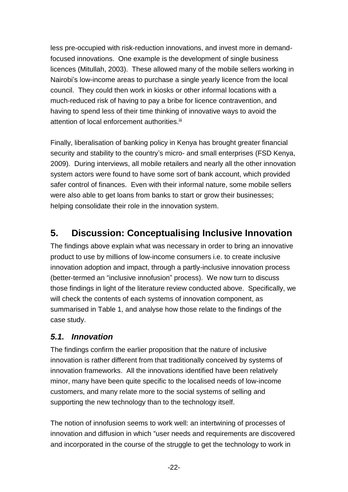less pre-occupied with risk-reduction innovations, and invest more in demandfocused innovations. One example is the development of single business licences (Mitullah, 2003). These allowed many of the mobile sellers working in Nairobi's low-income areas to purchase a single yearly licence from the local council. They could then work in kiosks or other informal locations with a much-reduced risk of having to pay a bribe for licence contravention, and having to spend less of their time thinking of innovative ways to avoid the attention of local enforcement authorities.<sup>iii</sup>

Finally, liberalisation of banking policy in Kenya has brought greater financial security and stability to the country's micro- and small enterprises (FSD Kenya, 2009). During interviews, all mobile retailers and nearly all the other innovation system actors were found to have some sort of bank account, which provided safer control of finances. Even with their informal nature, some mobile sellers were also able to get loans from banks to start or grow their businesses; helping consolidate their role in the innovation system.

# **5. Discussion: Conceptualising Inclusive Innovation**

The findings above explain what was necessary in order to bring an innovative product to use by millions of low-income consumers i.e. to create inclusive innovation adoption and impact, through a partly-inclusive innovation process (better-termed an "inclusive innofusion" process). We now turn to discuss those findings in light of the literature review conducted above. Specifically, we will check the contents of each systems of innovation component, as summarised in Table 1, and analyse how those relate to the findings of the case study.

### *5.1. Innovation*

The findings confirm the earlier proposition that the nature of inclusive innovation is rather different from that traditionally conceived by systems of innovation frameworks. All the innovations identified have been relatively minor, many have been quite specific to the localised needs of low-income customers, and many relate more to the social systems of selling and supporting the new technology than to the technology itself.

The notion of innofusion seems to work well: an intertwining of processes of innovation and diffusion in which "user needs and requirements are discovered and incorporated in the course of the struggle to get the technology to work in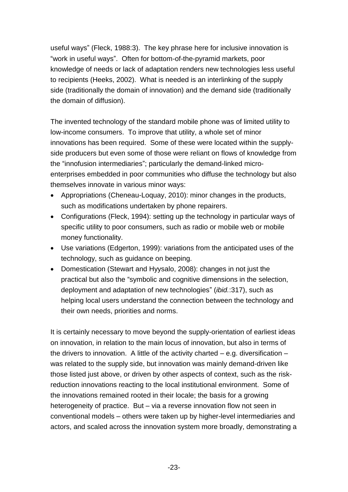useful ways" (Fleck, 1988:3). The key phrase here for inclusive innovation is "work in useful ways". Often for bottom-of-the-pyramid markets, poor knowledge of needs or lack of adaptation renders new technologies less useful to recipients (Heeks, 2002). What is needed is an interlinking of the supply side (traditionally the domain of innovation) and the demand side (traditionally the domain of diffusion).

The invented technology of the standard mobile phone was of limited utility to low-income consumers. To improve that utility, a whole set of minor innovations has been required. Some of these were located within the supplyside producers but even some of those were reliant on flows of knowledge from the "innofusion intermediaries"; particularly the demand-linked microenterprises embedded in poor communities who diffuse the technology but also themselves innovate in various minor ways:

- Appropriations (Cheneau-Loquay, 2010); minor changes in the products, such as modifications undertaken by phone repairers.
- Configurations (Fleck, 1994): setting up the technology in particular ways of specific utility to poor consumers, such as radio or mobile web or mobile money functionality.
- Use variations (Edgerton, 1999): variations from the anticipated uses of the technology, such as guidance on beeping.
- Domestication (Stewart and Hyysalo, 2008): changes in not just the practical but also the "symbolic and cognitive dimensions in the selection, deployment and adaptation of new technologies" (*ibid.*:317), such as helping local users understand the connection between the technology and their own needs, priorities and norms.

It is certainly necessary to move beyond the supply-orientation of earliest ideas on innovation, in relation to the main locus of innovation, but also in terms of the drivers to innovation. A little of the activity charted  $-$  e.g. diversification  $$ was related to the supply side, but innovation was mainly demand-driven like those listed just above, or driven by other aspects of context, such as the riskreduction innovations reacting to the local institutional environment. Some of the innovations remained rooted in their locale; the basis for a growing heterogeneity of practice. But – via a reverse innovation flow not seen in conventional models – others were taken up by higher-level intermediaries and actors, and scaled across the innovation system more broadly, demonstrating a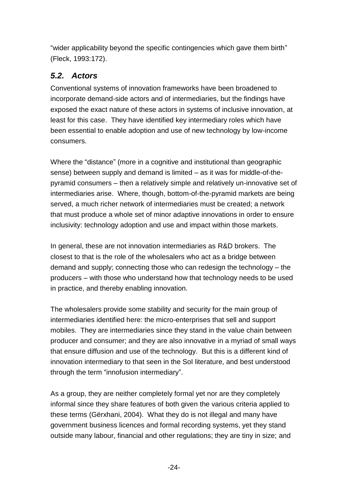"wider applicability beyond the specific contingencies which gave them birth" (Fleck, 1993:172).

## *5.2. Actors*

Conventional systems of innovation frameworks have been broadened to incorporate demand-side actors and of intermediaries, but the findings have exposed the exact nature of these actors in systems of inclusive innovation, at least for this case. They have identified key intermediary roles which have been essential to enable adoption and use of new technology by low-income consumers.

Where the "distance" (more in a cognitive and institutional than geographic sense) between supply and demand is limited – as it was for middle-of-thepyramid consumers – then a relatively simple and relatively un-innovative set of intermediaries arise. Where, though, bottom-of-the-pyramid markets are being served, a much richer network of intermediaries must be created; a network that must produce a whole set of minor adaptive innovations in order to ensure inclusivity: technology adoption and use and impact within those markets.

In general, these are not innovation intermediaries as R&D brokers. The closest to that is the role of the wholesalers who act as a bridge between demand and supply; connecting those who can redesign the technology – the producers – with those who understand how that technology needs to be used in practice, and thereby enabling innovation.

The wholesalers provide some stability and security for the main group of intermediaries identified here: the micro-enterprises that sell and support mobiles. They are intermediaries since they stand in the value chain between producer and consumer; and they are also innovative in a myriad of small ways that ensure diffusion and use of the technology. But this is a different kind of innovation intermediary to that seen in the SoI literature, and best understood through the term "innofusion intermediary".

As a group, they are neither completely formal yet nor are they completely informal since they share features of both given the various criteria applied to these terms (Gërxhani, 2004). What they do is not illegal and many have government business licences and formal recording systems, yet they stand outside many labour, financial and other regulations; they are tiny in size; and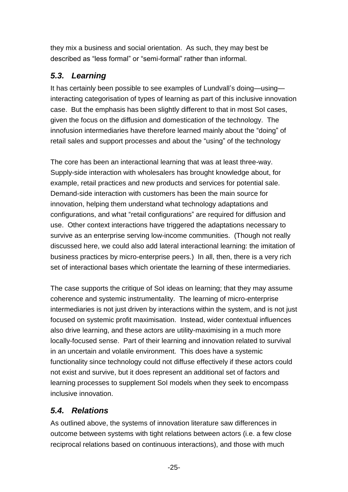they mix a business and social orientation. As such, they may best be described as "less formal" or "semi-formal" rather than informal.

## *5.3. Learning*

It has certainly been possible to see examples of Lundvall's doing—using interacting categorisation of types of learning as part of this inclusive innovation case. But the emphasis has been slightly different to that in most SoI cases, given the focus on the diffusion and domestication of the technology. The innofusion intermediaries have therefore learned mainly about the "doing" of retail sales and support processes and about the "using" of the technology

The core has been an interactional learning that was at least three-way. Supply-side interaction with wholesalers has brought knowledge about, for example, retail practices and new products and services for potential sale. Demand-side interaction with customers has been the main source for innovation, helping them understand what technology adaptations and configurations, and what "retail configurations" are required for diffusion and use. Other context interactions have triggered the adaptations necessary to survive as an enterprise serving low-income communities. (Though not really discussed here, we could also add lateral interactional learning: the imitation of business practices by micro-enterprise peers.) In all, then, there is a very rich set of interactional bases which orientate the learning of these intermediaries.

The case supports the critique of SoI ideas on learning; that they may assume coherence and systemic instrumentality. The learning of micro-enterprise intermediaries is not just driven by interactions within the system, and is not just focused on systemic profit maximisation. Instead, wider contextual influences also drive learning, and these actors are utility-maximising in a much more locally-focused sense. Part of their learning and innovation related to survival in an uncertain and volatile environment. This does have a systemic functionality since technology could not diffuse effectively if these actors could not exist and survive, but it does represent an additional set of factors and learning processes to supplement SoI models when they seek to encompass inclusive innovation.

## *5.4. Relations*

As outlined above, the systems of innovation literature saw differences in outcome between systems with tight relations between actors (i.e. a few close reciprocal relations based on continuous interactions), and those with much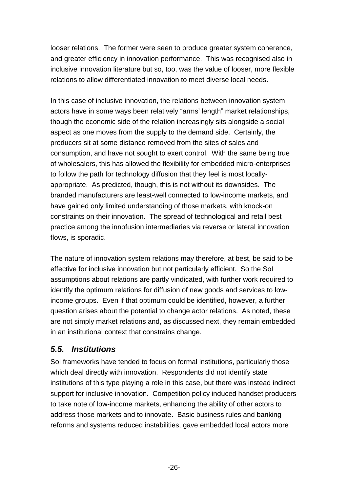looser relations. The former were seen to produce greater system coherence, and greater efficiency in innovation performance. This was recognised also in inclusive innovation literature but so, too, was the value of looser, more flexible relations to allow differentiated innovation to meet diverse local needs.

In this case of inclusive innovation, the relations between innovation system actors have in some ways been relatively "arms' length" market relationships, though the economic side of the relation increasingly sits alongside a social aspect as one moves from the supply to the demand side. Certainly, the producers sit at some distance removed from the sites of sales and consumption, and have not sought to exert control. With the same being true of wholesalers, this has allowed the flexibility for embedded micro-enterprises to follow the path for technology diffusion that they feel is most locallyappropriate. As predicted, though, this is not without its downsides. The branded manufacturers are least-well connected to low-income markets, and have gained only limited understanding of those markets, with knock-on constraints on their innovation. The spread of technological and retail best practice among the innofusion intermediaries via reverse or lateral innovation flows, is sporadic.

The nature of innovation system relations may therefore, at best, be said to be effective for inclusive innovation but not particularly efficient. So the SoI assumptions about relations are partly vindicated, with further work required to identify the optimum relations for diffusion of new goods and services to lowincome groups. Even if that optimum could be identified, however, a further question arises about the potential to change actor relations. As noted, these are not simply market relations and, as discussed next, they remain embedded in an institutional context that constrains change.

### *5.5. Institutions*

SoI frameworks have tended to focus on formal institutions, particularly those which deal directly with innovation. Respondents did not identify state institutions of this type playing a role in this case, but there was instead indirect support for inclusive innovation. Competition policy induced handset producers to take note of low-income markets, enhancing the ability of other actors to address those markets and to innovate. Basic business rules and banking reforms and systems reduced instabilities, gave embedded local actors more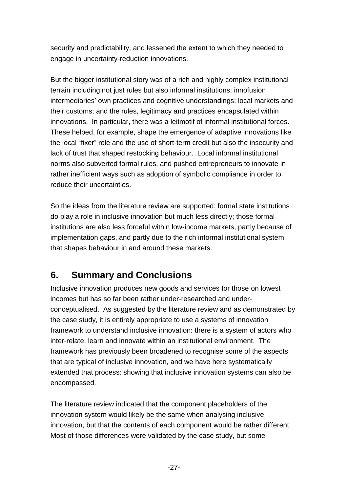security and predictability, and lessened the extent to which they needed to engage in uncertainty-reduction innovations.

But the bigger institutional story was of a rich and highly complex institutional terrain including not just rules but also informal institutions; innofusion intermediaries' own practices and cognitive understandings; local markets and their customs; and the rules, legitimacy and practices encapsulated within innovations. In particular, there was a leitmotif of informal institutional forces. These helped, for example, shape the emergence of adaptive innovations like the local "fixer" role and the use of short-term credit but also the insecurity and lack of trust that shaped restocking behaviour. Local informal institutional norms also subverted formal rules, and pushed entrepreneurs to innovate in rather inefficient ways such as adoption of symbolic compliance in order to reduce their uncertainties.

So the ideas from the literature review are supported: formal state institutions do play a role in inclusive innovation but much less directly; those formal institutions are also less forceful within low-income markets, partly because of implementation gaps, and partly due to the rich informal institutional system that shapes behaviour in and around these markets.

# **6. Summary and Conclusions**

Inclusive innovation produces new goods and services for those on lowest incomes but has so far been rather under-researched and underconceptualised. As suggested by the literature review and as demonstrated by the case study, it is entirely appropriate to use a systems of innovation framework to understand inclusive innovation: there is a system of actors who inter-relate, learn and innovate within an institutional environment. The framework has previously been broadened to recognise some of the aspects that are typical of inclusive innovation, and we have here systematically extended that process: showing that inclusive innovation systems can also be encompassed.

The literature review indicated that the component placeholders of the innovation system would likely be the same when analysing inclusive innovation, but that the contents of each component would be rather different. Most of those differences were validated by the case study, but some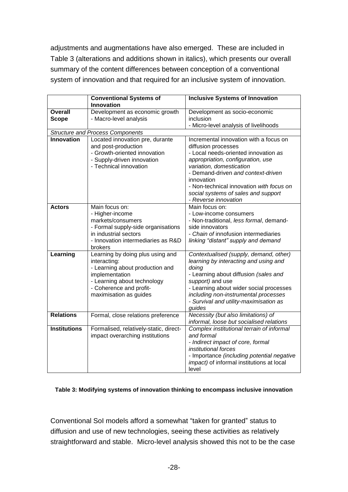adjustments and augmentations have also emerged. These are included in Table 3 (alterations and additions shown in italics), which presents our overall summary of the content differences between conception of a conventional system of innovation and that required for an inclusive system of innovation.

|                                         | <b>Conventional Systems of</b>                                                                                                                                                            | <b>Inclusive Systems of Innovation</b>                                                                                                                                                                                                                                                                                                |  |  |  |
|-----------------------------------------|-------------------------------------------------------------------------------------------------------------------------------------------------------------------------------------------|---------------------------------------------------------------------------------------------------------------------------------------------------------------------------------------------------------------------------------------------------------------------------------------------------------------------------------------|--|--|--|
| <b>Overall</b><br><b>Scope</b>          | Innovation<br>Development as economic growth<br>- Macro-level analysis                                                                                                                    | Development as socio-economic<br>inclusion<br>- Micro-level analysis of livelihoods                                                                                                                                                                                                                                                   |  |  |  |
| <b>Structure and Process Components</b> |                                                                                                                                                                                           |                                                                                                                                                                                                                                                                                                                                       |  |  |  |
| <b>Innovation</b>                       | Located innovation pre, durante<br>and post-production<br>- Growth-oriented innovation<br>- Supply-driven innovation<br>- Technical innovation                                            | Incremental innovation with a focus on<br>diffusion processes<br>- Local needs-oriented innovation as<br>appropriation, configuration, use<br>variation, domestication<br>- Demand-driven and context-driven<br>innovation<br>- Non-technical innovation with focus on<br>social systems of sales and support<br>- Reverse innovation |  |  |  |
| <b>Actors</b>                           | Main focus on:<br>- Higher-income<br>markets/consumers<br>- Formal supply-side organisations<br>in industrial sectors<br>- Innovation intermediaries as R&D<br>brokers                    | Main focus on:<br>- Low-income consumers<br>- Non-traditional, less formal, demand-<br>side innovators<br>- Chain of innofusion intermediaries<br>linking "distant" supply and demand                                                                                                                                                 |  |  |  |
| Learning                                | Learning by doing plus using and<br>interacting:<br>- Learning about production and<br>implementation<br>- Learning about technology<br>- Coherence and profit-<br>maximisation as guides | Contextualised (supply, demand, other)<br>learning by interacting and using and<br>doing<br>- Learning about diffusion (sales and<br>support) and use<br>- Learning about wider social processes<br>including non-instrumental processes<br>- Survival and utility-maximisation as<br>guides                                          |  |  |  |
| <b>Relations</b>                        | Formal, close relations preference                                                                                                                                                        | Necessity (but also limitations) of<br>informal, loose but socialised relations                                                                                                                                                                                                                                                       |  |  |  |
| <b>Institutions</b>                     | Formalised, relatively-static, direct-<br>impact overarching institutions                                                                                                                 | Complex institutional terrain of informal<br>and formal<br>- Indirect impact of core, formal<br>institutional forces<br>- Importance (including potential negative<br>impact) of informal institutions at local<br>level                                                                                                              |  |  |  |

#### **Table 3: Modifying systems of innovation thinking to encompass inclusive innovation**

Conventional SoI models afford a somewhat "taken for granted" status to diffusion and use of new technologies, seeing these activities as relatively straightforward and stable. Micro-level analysis showed this not to be the case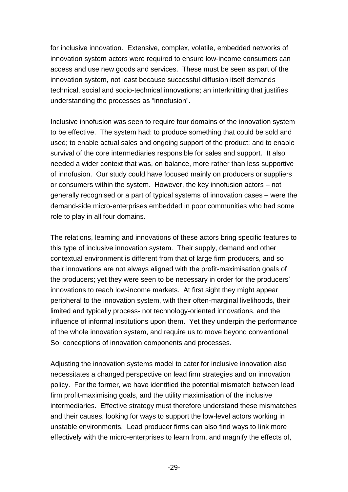for inclusive innovation. Extensive, complex, volatile, embedded networks of innovation system actors were required to ensure low-income consumers can access and use new goods and services. These must be seen as part of the innovation system, not least because successful diffusion itself demands technical, social and socio-technical innovations; an interknitting that justifies understanding the processes as "innofusion".

Inclusive innofusion was seen to require four domains of the innovation system to be effective. The system had: to produce something that could be sold and used; to enable actual sales and ongoing support of the product; and to enable survival of the core intermediaries responsible for sales and support. It also needed a wider context that was, on balance, more rather than less supportive of innofusion. Our study could have focused mainly on producers or suppliers or consumers within the system. However, the key innofusion actors – not generally recognised or a part of typical systems of innovation cases – were the demand-side micro-enterprises embedded in poor communities who had some role to play in all four domains.

The relations, learning and innovations of these actors bring specific features to this type of inclusive innovation system. Their supply, demand and other contextual environment is different from that of large firm producers, and so their innovations are not always aligned with the profit-maximisation goals of the producers; yet they were seen to be necessary in order for the producers' innovations to reach low-income markets. At first sight they might appear peripheral to the innovation system, with their often-marginal livelihoods, their limited and typically process- not technology-oriented innovations, and the influence of informal institutions upon them. Yet they underpin the performance of the whole innovation system, and require us to move beyond conventional SoI conceptions of innovation components and processes.

Adjusting the innovation systems model to cater for inclusive innovation also necessitates a changed perspective on lead firm strategies and on innovation policy. For the former, we have identified the potential mismatch between lead firm profit-maximising goals, and the utility maximisation of the inclusive intermediaries. Effective strategy must therefore understand these mismatches and their causes, looking for ways to support the low-level actors working in unstable environments. Lead producer firms can also find ways to link more effectively with the micro-enterprises to learn from, and magnify the effects of,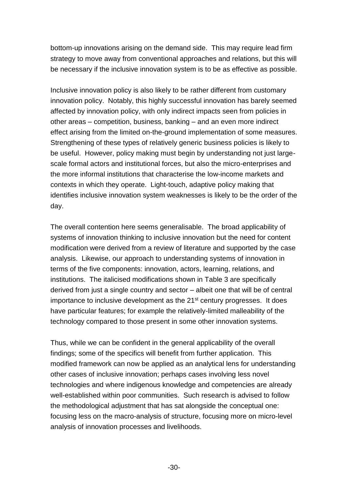bottom-up innovations arising on the demand side. This may require lead firm strategy to move away from conventional approaches and relations, but this will be necessary if the inclusive innovation system is to be as effective as possible.

Inclusive innovation policy is also likely to be rather different from customary innovation policy. Notably, this highly successful innovation has barely seemed affected by innovation policy, with only indirect impacts seen from policies in other areas – competition, business, banking – and an even more indirect effect arising from the limited on-the-ground implementation of some measures. Strengthening of these types of relatively generic business policies is likely to be useful. However, policy making must begin by understanding not just largescale formal actors and institutional forces, but also the micro-enterprises and the more informal institutions that characterise the low-income markets and contexts in which they operate. Light-touch, adaptive policy making that identifies inclusive innovation system weaknesses is likely to be the order of the day.

The overall contention here seems generalisable. The broad applicability of systems of innovation thinking to inclusive innovation but the need for content modification were derived from a review of literature and supported by the case analysis. Likewise, our approach to understanding systems of innovation in terms of the five components: innovation, actors, learning, relations, and institutions. The italicised modifications shown in Table 3 are specifically derived from just a single country and sector – albeit one that will be of central importance to inclusive development as the 21<sup>st</sup> century progresses. It does have particular features; for example the relatively-limited malleability of the technology compared to those present in some other innovation systems.

Thus, while we can be confident in the general applicability of the overall findings; some of the specifics will benefit from further application. This modified framework can now be applied as an analytical lens for understanding other cases of inclusive innovation; perhaps cases involving less novel technologies and where indigenous knowledge and competencies are already well-established within poor communities. Such research is advised to follow the methodological adjustment that has sat alongside the conceptual one: focusing less on the macro-analysis of structure, focusing more on micro-level analysis of innovation processes and livelihoods.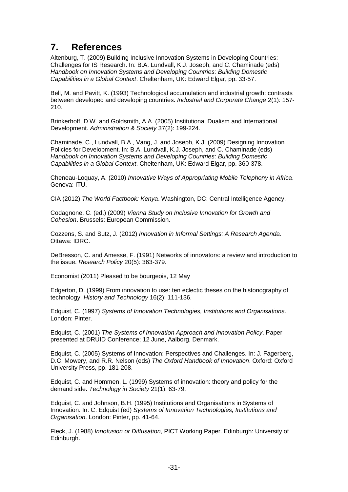# **7. References**

Altenburg, T. (2009) Building Inclusive Innovation Systems in Developing Countries: Challenges for IS Research. In: B.A. Lundvall, K.J. Joseph, and C. Chaminade (eds) *Handbook on Innovation Systems and Developing Countries: Building Domestic Capabilities in a Global Context*. Cheltenham, UK: Edward Elgar, pp. 33-57.

Bell, M. and Pavitt, K. (1993) Technological accumulation and industrial growth: contrasts between developed and developing countries. *Industrial and Corporate Change* 2(1): 157- 210.

Brinkerhoff, D.W. and Goldsmith, A.A. (2005) Institutional Dualism and International Development. *Administration & Society* 37(2): 199-224.

Chaminade, C., Lundvall, B.A., Vang, J. and Joseph, K.J. (2009) Designing Innovation Policies for Development. In: B.A. Lundvall, K.J. Joseph, and C. Chaminade (eds) *Handbook on Innovation Systems and Developing Countries: Building Domestic Capabilities in a Global Context*. Cheltenham, UK: Edward Elgar, pp. 360-378.

Cheneau-Loquay, A. (2010) *Innovative Ways of Appropriating Mobile Telephony in Africa*. Geneva: ITU.

CIA (2012) *The World Factbook: Kenya*. Washington, DC: Central Intelligence Agency.

Codagnone, C. (ed.) (2009) *Vienna Study on Inclusive Innovation for Growth and Cohesion*. Brussels: European Commission.

Cozzens, S. and Sutz, J. (2012) *Innovation in Informal Settings: A Research Agenda*. Ottawa: IDRC.

DeBresson, C. and Amesse, F. (1991) Networks of innovators: a review and introduction to the issue. *Research Policy* 20(5): 363-379.

Economist (2011) Pleased to be bourgeois, 12 May

Edgerton, D. (1999) From innovation to use: ten eclectic theses on the historiography of technology. *History and Technology* 16(2): 111-136.

Edquist, C. (1997) *Systems of Innovation Technologies, Institutions and Organisations*. London: Pinter.

Edquist, C. (2001) *The Systems of Innovation Approach and Innovation Policy*. Paper presented at DRUID Conference; 12 June, Aalborg, Denmark.

Edquist, C. (2005) Systems of Innovation: Perspectives and Challenges. In: J. Fagerberg, D.C. Mowery, and R.R. Nelson (eds) *The Oxford Handbook of Innovation*. Oxford: Oxford University Press, pp. 181-208.

Edquist, C. and Hommen, L. (1999) Systems of innovation: theory and policy for the demand side. *Technology in Society* 21(1): 63-79.

Edquist, C. and Johnson, B.H. (1995) Institutions and Organisations in Systems of Innovation. In: C. Edquist (ed) *Systems of Innovation Technologies, Institutions and Organisation*. London: Pinter, pp. 41-64.

Fleck, J. (1988) *Innofusion or Diffusation*, PICT Working Paper. Edinburgh: University of Edinburgh.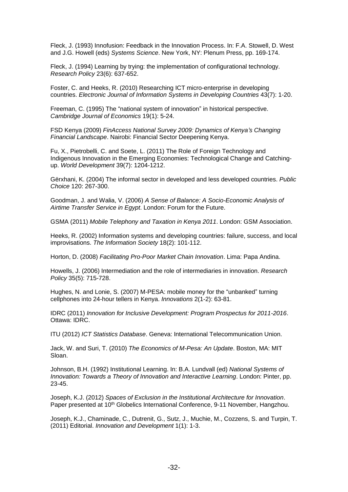Fleck, J. (1993) Innofusion: Feedback in the Innovation Process. In: F.A. Stowell, D. West and J.G. Howell (eds) *Systems Science*. New York, NY: Plenum Press, pp. 169-174.

Fleck, J. (1994) Learning by trying: the implementation of configurational technology. *Research Policy* 23(6): 637-652.

Foster, C. and Heeks, R. (2010) Researching ICT micro-enterprise in developing countries. *Electronic Journal of Information Systems in Developing Countries* 43(7): 1-20.

Freeman, C. (1995) The "national system of innovation" in historical perspective. *Cambridge Journal of Economics* 19(1): 5-24.

FSD Kenya (2009) *FinAccess National Survey 2009: Dynamics of Kenya's Changing Financial Landscape*. Nairobi: Financial Sector Deepening Kenya.

Fu, X., Pietrobelli, C. and Soete, L. (2011) The Role of Foreign Technology and Indigenous Innovation in the Emerging Economies: Technological Change and Catchingup. *World Development* 39(7): 1204-1212.

Gërxhani, K. (2004) The informal sector in developed and less developed countries. *Public Choice* 120: 267-300.

Goodman, J. and Walia, V. (2006) *A Sense of Balance: A Socio-Economic Analysis of Airtime Transfer Service in Egypt*. London: Forum for the Future.

GSMA (2011) *Mobile Telephony and Taxation in Kenya 2011*. London: GSM Association.

Heeks, R. (2002) Information systems and developing countries: failure, success, and local improvisations. *The Information Society* 18(2): 101-112.

Horton, D. (2008) *Facilitating Pro-Poor Market Chain Innovation*. Lima: Papa Andina.

Howells, J. (2006) Intermediation and the role of intermediaries in innovation. *Research Policy* 35(5): 715-728.

Hughes, N. and Lonie, S. (2007) M-PESA: mobile money for the "unbanked" turning cellphones into 24-hour tellers in Kenya. *Innovations* 2(1-2): 63-81.

IDRC (2011) *Innovation for Inclusive Development: Program Prospectus for 2011-2016*. Ottawa: IDRC.

ITU (2012) *ICT Statistics Database*. Geneva: International Telecommunication Union.

Jack, W. and Suri, T. (2010) *The Economics of M-Pesa: An Update*. Boston, MA: MIT Sloan.

Johnson, B.H. (1992) Institutional Learning. In: B.A. Lundvall (ed) *National Systems of Innovation: Towards a Theory of Innovation and Interactive Learning*. London: Pinter, pp. 23-45.

Joseph, K.J. (2012) *Spaces of Exclusion in the Institutional Architecture for Innovation*. Paper presented at 10<sup>th</sup> Globelics International Conference, 9-11 November, Hangzhou.

Joseph, K.J., Chaminade, C., Dutrenit, G., Sutz, J., Muchie, M., Cozzens, S. and Turpin, T. (2011) Editorial. *Innovation and Development* 1(1): 1-3.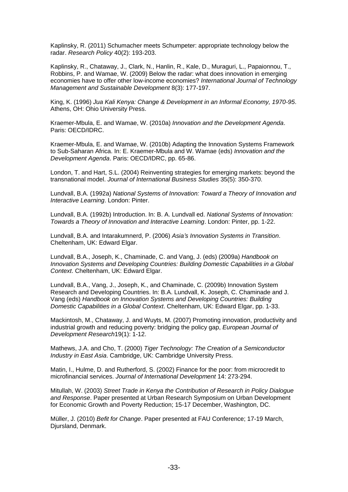Kaplinsky, R. (2011) Schumacher meets Schumpeter: appropriate technology below the radar. *Research Policy* 40(2): 193-203.

Kaplinsky, R., Chataway, J., Clark, N., Hanlin, R., Kale, D., Muraguri, L., Papaionnou, T., Robbins, P. and Wamae, W. (2009) Below the radar: what does innovation in emerging economies have to offer other low-income economies? *International Journal of Technology Management and Sustainable Development* 8(3): 177-197.

King, K. (1996) *Jua Kali Kenya: Change & Development in an Informal Economy, 1970-95*. Athens, OH: Ohio University Press.

Kraemer-Mbula, E. and Wamae, W. (2010a) *Innovation and the Development Agenda*. Paris: OECD/IDRC.

Kraemer-Mbula, E. and Wamae, W. (2010b) Adapting the Innovation Systems Framework to Sub-Saharan Africa. In: E. Kraemer-Mbula and W. Wamae (eds) *Innovation and the Development Agenda*. Paris: OECD/IDRC, pp. 65-86.

London, T. and Hart, S.L. (2004) Reinventing strategies for emerging markets: beyond the transnational model. *Journal of International Business Studies* 35(5): 350-370.

Lundvall, B.A. (1992a) *National Systems of Innovation: Toward a Theory of Innovation and Interactive Learning*. London: Pinter.

Lundvall, B.A. (1992b) Introduction. In: B. A. Lundvall ed. *National Systems of Innovation: Towards a Theory of Innovation and Interactive Learning*. London: Pinter, pp. 1-22.

Lundvall, B.A. and Intarakumnerd, P. (2006) *Asia's Innovation Systems in Transition*. Cheltenham, UK: Edward Elgar.

Lundvall, B.A., Joseph, K., Chaminade, C. and Vang, J. (eds) (2009a) *Handbook on Innovation Systems and Developing Countries: Building Domestic Capabilities in a Global Context*. Cheltenham, UK: Edward Elgar.

Lundvall, B.A., Vang, J., Joseph, K., and Chaminade, C. (2009b) Innovation System Research and Developing Countries. In: B.A. Lundvall, K. Joseph, C. Chaminade and J. Vang (eds) *Handbook on Innovation Systems and Developing Countries: Building Domestic Capabilities in a Global Context*. Cheltenham, UK: Edward Elgar, pp. 1-33.

Mackintosh, M., Chataway, J. and Wuyts, M. (2007) Promoting innovation, productivity and industrial growth and reducing poverty: bridging the policy gap, *European Journal of Development Research*19(1): 1-12.

Mathews, J.A. and Cho, T. (2000) *Tiger Technology: The Creation of a Semiconductor Industry in East Asia*. Cambridge, UK: Cambridge University Press.

Matin, I., Hulme, D. and Rutherford, S. (2002) Finance for the poor: from microcredit to microfinancial services. *Journal of International Development* 14: 273-294.

Mitullah, W. (2003) *Street Trade in Kenya the Contribution of Research in Policy Dialogue and Response*. Paper presented at Urban Research Symposium on Urban Development for Economic Growth and Poverty Reduction; 15-17 December, Washington, DC.

Müller, J. (2010) *Befit for Change*. Paper presented at FAU Conference; 17-19 March, Djursland, Denmark.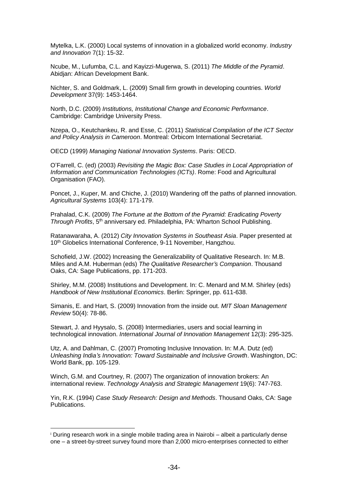Mytelka, L.K. (2000) Local systems of innovation in a globalized world economy. *Industry and Innovation* 7(1): 15-32.

Ncube, M., Lufumba, C.L. and Kayizzi-Mugerwa, S. (2011) *The Middle of the Pyramid*. Abidjan: African Development Bank.

Nichter, S. and Goldmark, L. (2009) Small firm growth in developing countries. *World Development* 37(9): 1453-1464.

North, D.C. (2009) *Institutions, Institutional Change and Economic Performance*. Cambridge: Cambridge University Press.

Nzepa, O., Keutchankeu, R. and Esse, C. (2011) *Statistical Compilation of the ICT Sector and Policy Analysis in Cameroon*. Montreal: Orbicom International Secretariat.

OECD (1999) *Managing National Innovation Systems*. Paris: OECD.

O'Farrell, C. (ed) (2003) *Revisiting the Magic Box: Case Studies in Local Appropriation of Information and Communication Technologies (ICTs)*. Rome: Food and Agricultural Organisation (FAO).

Poncet, J., Kuper, M. and Chiche, J. (2010) Wandering off the paths of planned innovation. *Agricultural Systems* 103(4): 171-179.

Prahalad, C.K. (2009) *The Fortune at the Bottom of the Pyramid: Eradicating Poverty*  Through Profits, 5<sup>th</sup> anniversary ed. Philadelphia, PA: Wharton School Publishing.

Ratanawaraha, A. (2012) *City Innovation Systems in Southeast Asia*. Paper presented at 10<sup>th</sup> Globelics International Conference, 9-11 November, Hangzhou.

Schofield, J.W. (2002) Increasing the Generalizability of Qualitative Research. In: M.B. Miles and A.M. Huberman (eds) *The Qualitative Researcher's Companion*. Thousand Oaks, CA: Sage Publications, pp. 171-203.

Shirley, M.M. (2008) Institutions and Development. In: C. Menard and M.M. Shirley (eds) *Handbook of New Institutional Economics*. Berlin: Springer, pp. 611-638.

Simanis, E. and Hart, S. (2009) Innovation from the inside out. *MIT Sloan Management Review* 50(4): 78-86.

Stewart, J. and Hyysalo, S. (2008) Intermediaries, users and social learning in technological innovation. *International Journal of Innovation Management* 12(3): 295-325.

Utz, A. and Dahlman, C. (2007) Promoting Inclusive Innovation. In: M.A. Dutz (ed) *Unleashing India's Innovation: Toward Sustainable and Inclusive Growth*. Washington, DC: World Bank, pp. 105-129.

Winch, G.M. and Courtney, R. (2007) The organization of innovation brokers: An international review. *Technology Analysis and Strategic Management* 19(6): 747-763.

Yin, R.K. (1994) *Case Study Research: Design and Methods*. Thousand Oaks, CA: Sage Publications.

l

<sup>i</sup> During research work in a single mobile trading area in Nairobi – albeit a particularly dense one – a street-by-street survey found more than 2,000 micro-enterprises connected to either